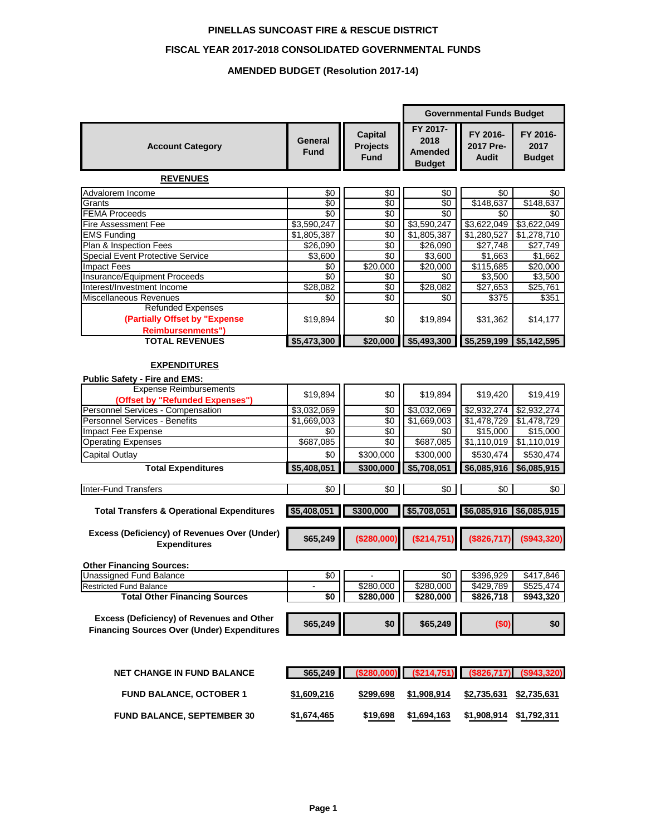#### **PINELLAS SUNCOAST FIRE & RESCUE DISTRICT**

#### **FISCAL YEAR 2017-2018 CONSOLIDATED GOVERNMENTAL FUNDS**

#### **AMENDED BUDGET (Resolution 2017-14)**

|                                                                      |                        |                                                  |                                              | <b>Governmental Funds Budget</b>      |                                   |
|----------------------------------------------------------------------|------------------------|--------------------------------------------------|----------------------------------------------|---------------------------------------|-----------------------------------|
| <b>Account Category</b>                                              | General<br><b>Fund</b> | <b>Capital</b><br><b>Projects</b><br><b>Fund</b> | FY 2017-<br>2018<br>Amended<br><b>Budget</b> | FY 2016-<br>2017 Pre-<br><b>Audit</b> | FY 2016-<br>2017<br><b>Budget</b> |
| <b>REVENUES</b>                                                      |                        |                                                  |                                              |                                       |                                   |
| Advalorem Income                                                     | \$0                    | \$0                                              | \$0                                          | \$0                                   | \$0                               |
| Grants                                                               | $\overline{30}$        | $\sqrt{6}$                                       | $\sqrt{6}$                                   | \$148,637                             | \$148,637                         |
| <b>FEMA Proceeds</b>                                                 | \$0                    | \$0                                              | \$0                                          | \$0                                   | \$0                               |
| <b>Fire Assessment Fee</b>                                           | \$3,590,247            | \$0                                              | \$3,590,247                                  | \$3,622,049                           | \$3,622,049                       |
| <b>EMS Funding</b>                                                   | \$1,805,387            | $\sqrt{6}$                                       | \$1,805,387                                  | \$1,280,527                           | \$1,278,710                       |
| Plan & Inspection Fees                                               | \$26,090               | \$0                                              | \$26,090                                     | \$27,748                              | \$27,749                          |
| <b>Special Event Protective Service</b>                              | \$3,600                | \$0                                              | \$3,600                                      | \$1,663                               | \$1,662                           |
| <b>Impact Fees</b>                                                   | \$0                    | \$20,000                                         | \$20,000                                     | $\overline{$115,685}$                 | $\overline{$}20,000$              |
| Insurance/Equipment Proceeds                                         | \$0                    | \$0                                              | \$0                                          | \$3,500                               | \$3,500                           |
| Interest/Investment Income                                           | \$28,082               | \$0                                              | \$28,082                                     | \$27,653                              | \$25,761                          |
| Miscellaneous Revenues                                               | \$0                    | \$0                                              | \$0                                          | \$375                                 | \$351                             |
| <b>Refunded Expenses</b>                                             |                        |                                                  |                                              |                                       |                                   |
| (Partially Offset by "Expense                                        | \$19,894               | \$0                                              | \$19,894                                     | \$31,362                              | \$14,177                          |
| <b>Reimbursenments")</b>                                             |                        |                                                  |                                              |                                       |                                   |
| <b>TOTAL REVENUES</b>                                                | \$5,473,300            | \$20,000                                         | \$5,493,300                                  | \$5,259,199                           | \$5,142,595                       |
| <b>EXPENDITURES</b><br><b>Public Safety - Fire and EMS:</b>          |                        |                                                  |                                              |                                       |                                   |
| <b>Expense Reimbursements</b>                                        | \$19,894               | \$0                                              | \$19,894                                     | \$19,420                              | \$19,419                          |
| (Offset by "Refunded Expenses")<br>Personnel Services - Compensation | \$3,032,069            | \$0                                              | \$3,032,069                                  | \$2,932,274                           | \$2,932,274                       |
| <b>Personnel Services - Benefits</b>                                 | \$1,669,003            | $\sqrt{6}$                                       | \$1,669,003                                  | \$1,478,729                           | \$1,478,729                       |
| Impact Fee Expense                                                   | \$0                    | \$0                                              | \$0                                          | \$15,000                              | \$15,000                          |
| Operating Expenses                                                   | \$687,085              | \$0                                              | \$687,085                                    | \$1,110,019                           | \$1,110,019                       |
| Capital Outlay                                                       | \$0                    | \$300,000                                        | \$300,000                                    | \$530,474                             | \$530,474                         |
|                                                                      |                        |                                                  |                                              |                                       |                                   |
| <b>Total Expenditures</b>                                            | \$5,408,051            | \$300,000                                        | \$5,708,051                                  | \$6,085,916                           | \$6,085,915                       |
| <b>Inter-Fund Transfers</b>                                          | $\sqrt{6}$             | \$0                                              | \$0                                          | \$0                                   | \$0                               |
| <b>Total Transfers &amp; Operational Expenditures</b>                | \$5,408,051            | \$300,000                                        | \$5,708,051                                  | \$6,085,916                           | \$6,085,915                       |
| Excess (Deficiency) of Revenues Over (Under)<br><b>Expenditures</b>  | \$65,249               | $($ \$280,000)                                   | (\$214,751)                                  | (\$826,717)                           | (\$943,320)                       |
| <b>Other Financing Sources:</b>                                      |                        |                                                  |                                              |                                       |                                   |
| <b>Unassigned Fund Balance</b>                                       | $\sqrt{50}$            |                                                  | $\sqrt{50}$                                  | \$396,929                             | \$417,846                         |
| <b>Restricted Fund Balance</b>                                       | $\blacksquare$         | \$280,000                                        | \$280,000                                    | \$429,789                             | \$525,474                         |
| <b>Total Other Financing Sources</b>                                 | \$0                    | \$280,000                                        | \$280,000                                    | \$826,718                             | \$943,320                         |
| Excess (Deficiency) of Revenues and Other                            |                        |                                                  |                                              |                                       |                                   |
| <b>Financing Sources Over (Under) Expenditures</b>                   | \$65,249               | \$0                                              | \$65,249                                     | (\$0)                                 | \$0                               |
| <b>NET CHANGE IN FUND BALANCE</b>                                    | \$65,249               | (\$280,000)                                      | (\$214,751)                                  | (\$826,717)                           | (\$943,320)                       |
| <b>FUND BALANCE, OCTOBER 1</b>                                       | \$1,609,216            | \$299,698                                        | \$1,908,914                                  | \$2,735,631                           | \$2,735,631                       |
| <b>FUND BALANCE, SEPTEMBER 30</b>                                    | \$1,674,465            | \$19,698                                         | \$1,694,163                                  | \$1,908,914 \$1,792,311               |                                   |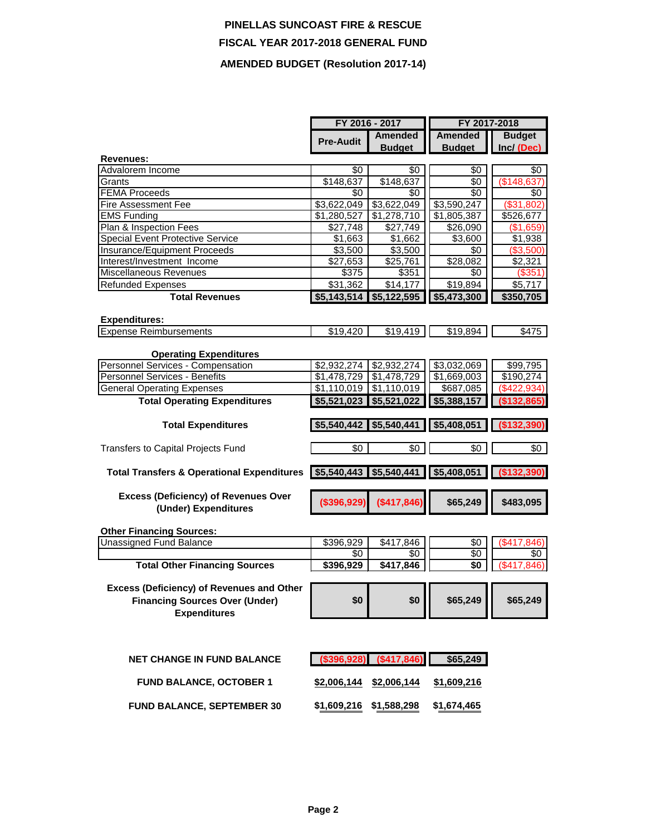# **PINELLAS SUNCOAST FIRE & RESCUE FISCAL YEAR 2017-2018 GENERAL FUND AMENDED BUDGET (Resolution 2017-14)**

|                                                                   | FY 2016 - 2017                  |                                 | FY 2017-2018    |                                 |
|-------------------------------------------------------------------|---------------------------------|---------------------------------|-----------------|---------------------------------|
|                                                                   | <b>Pre-Audit</b>                | <b>Amended</b>                  | <b>Amended</b>  | <b>Budget</b>                   |
|                                                                   |                                 | <b>Budget</b>                   | <b>Budget</b>   | Inc/ (Dec)                      |
| Revenues:                                                         |                                 |                                 |                 |                                 |
| Advalorem Income                                                  | \$0                             | \$0                             | \$0             | \$0                             |
| Grants                                                            | \$148,637                       | \$148,637                       | \$0             | \$148,637                       |
| <b>FEMA Proceeds</b>                                              | \$0                             | \$0                             | \$0             | \$0                             |
| <b>Fire Assessment Fee</b>                                        | \$3,622,049                     | \$3,622,049                     | \$3,590,247     | (\$31,802)                      |
| <b>EMS Funding</b>                                                | \$1,280,527                     | \$1,278,710                     | \$1,805,387     | \$526,677                       |
| Plan & Inspection Fees<br>Special Event Protective Service        | \$27,748                        | \$27,749                        | \$26,090        | (\$1,659)                       |
|                                                                   | \$1,663                         | \$1,662                         | \$3,600<br>\$0  | $\overline{$}1,938$<br>(S3,500) |
| <b>Insurance/Equipment Proceeds</b><br>Interest/Investment Income | \$3,500                         | \$3,500<br>$\overline{$}25,761$ | \$28,082        |                                 |
| Miscellaneous Revenues                                            | \$27,653                        |                                 |                 | \$2,321                         |
| <b>Refunded Expenses</b>                                          | \$375<br>\$31,362               | \$351<br>\$14,177               | \$0<br>\$19,894 | (\$351)<br>\$5,717              |
| <b>Total Revenues</b>                                             | \$5,143,514                     | \$5,122,595                     | \$5,473,300     | \$350,705                       |
|                                                                   |                                 |                                 |                 |                                 |
| <b>Expenditures:</b>                                              |                                 |                                 |                 |                                 |
| <b>Expense Reimbursements</b>                                     | \$19,420                        | \$19,419                        | \$19,894        | \$475                           |
|                                                                   |                                 |                                 |                 |                                 |
| <b>Operating Expenditures</b>                                     |                                 |                                 |                 |                                 |
| Personnel Services - Compensation                                 | \$2,932,274                     | \$2,932,274                     | \$3,032,069     | \$99,795                        |
| <b>Personnel Services - Benefits</b>                              | \$1,478,729                     | \$1,478,729                     | \$1,669,003     | $\sqrt{$190,274}$               |
| <b>General Operating Expenses</b>                                 | \$1,110,019                     | \$1,110,019                     | \$687,085       | $(\$422,934)$                   |
| <b>Total Operating Expenditures</b>                               | \$5,521,023                     | \$5,521,022                     | \$5,388,157     | (\$132,865)                     |
|                                                                   |                                 |                                 |                 |                                 |
| <b>Total Expenditures</b>                                         | $$5,540,442$ \$5,540,441        |                                 | \$5,408,051     | (\$132,390)                     |
| Transfers to Capital Projects Fund                                | \$0                             | \$0                             | \$0             | $\sqrt{6}$                      |
|                                                                   |                                 |                                 |                 |                                 |
| <b>Total Transfers &amp; Operational Expenditures</b>             | $$5,540,443$ \$5,540,441        |                                 | \$5,408,051     | (\$132,390)                     |
|                                                                   |                                 |                                 |                 |                                 |
| <b>Excess (Deficiency) of Revenues Over</b>                       | (\$396,929)                     | (\$417,846)                     | \$65,249        | \$483,095                       |
| (Under) Expenditures                                              |                                 |                                 |                 |                                 |
|                                                                   |                                 |                                 |                 |                                 |
| <b>Other Financing Sources:</b>                                   |                                 |                                 |                 |                                 |
| <b>Unassigned Fund Balance</b>                                    | \$396,929                       | \$417,846                       | \$0             | (\$417,846)                     |
| <b>Total Other Financing Sources</b>                              | \$0<br>\$396,929                | \$0<br>\$417,846                | \$0<br>\$0      | \$0<br>(\$417, 846)             |
|                                                                   |                                 |                                 |                 |                                 |
| <b>Excess (Deficiency) of Revenues and Other</b>                  |                                 |                                 |                 |                                 |
| <b>Financing Sources Over (Under)</b>                             | \$0                             | \$0                             | \$65,249        | \$65,249                        |
| <b>Expenditures</b>                                               |                                 |                                 |                 |                                 |
|                                                                   |                                 |                                 |                 |                                 |
|                                                                   |                                 |                                 |                 |                                 |
|                                                                   |                                 |                                 |                 |                                 |
| <b>NET CHANGE IN FUND BALANCE</b>                                 | $(1, 396, 928)$ $(1, 417, 846)$ |                                 | \$65,249        |                                 |
|                                                                   |                                 |                                 |                 |                                 |
| <b>FUND BALANCE, OCTOBER 1</b>                                    | $$2,006,144$ \$2,006,144        |                                 | \$1,609,216     |                                 |
|                                                                   |                                 |                                 |                 |                                 |

**FUND BALANCE, SEPTEMBER 30 \$1,609,216 \$1,588,298 \$1,674,465**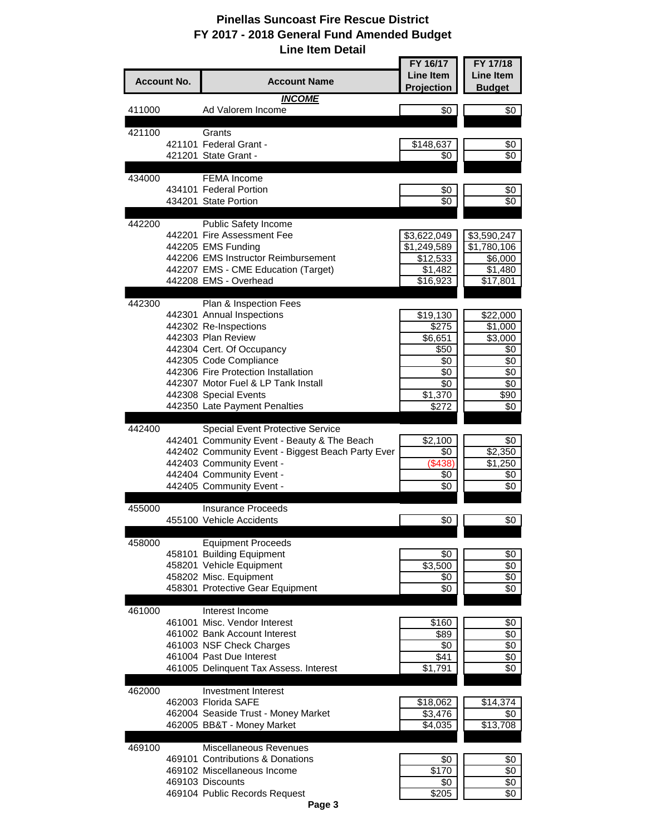|                    |                                                                               | FY 16/17                | FY 17/18               |
|--------------------|-------------------------------------------------------------------------------|-------------------------|------------------------|
| <b>Account No.</b> | <b>Account Name</b>                                                           | <b>Line Item</b>        | <b>Line Item</b>       |
|                    |                                                                               | Projection              | <b>Budget</b>          |
| 411000             | <b>INCOME</b><br>Ad Valorem Income                                            | \$0                     | \$0                    |
|                    |                                                                               |                         |                        |
| 421100             | Grants                                                                        |                         |                        |
|                    | 421101 Federal Grant -                                                        | \$148,637               | \$0                    |
|                    | 421201 State Grant -                                                          | \$0                     | \$0                    |
|                    | <b>FEMA</b> Income                                                            |                         |                        |
| 434000             | 434101 Federal Portion                                                        | \$0                     | \$0                    |
|                    | 434201 State Portion                                                          | \$0                     | \$0                    |
|                    |                                                                               |                         |                        |
| 442200             | Public Safety Income                                                          |                         |                        |
|                    | 442201 Fire Assessment Fee<br>442205 EMS Funding                              | \$3,622,049             | \$3,590,247            |
|                    | 442206 EMS Instructor Reimbursement                                           | \$1,249,589<br>\$12,533 | \$1,780,106<br>\$6,000 |
|                    | 442207 EMS - CME Education (Target)                                           | \$1,482                 | \$1,480                |
|                    | 442208 EMS - Overhead                                                         | $\overline{$}16,923$    | $\overline{$}17,801$   |
|                    |                                                                               |                         |                        |
| 442300             | Plan & Inspection Fees                                                        |                         |                        |
|                    | 442301 Annual Inspections<br>442302 Re-Inspections                            | \$19,130<br>\$275       | \$22,000<br>\$1,000    |
|                    | 442303 Plan Review                                                            | $\overline{$}6,651$     | \$3,000                |
|                    | 442304 Cert. Of Occupancy                                                     | \$50                    | \$0                    |
|                    | 442305 Code Compliance                                                        | \$0                     | \$0                    |
|                    | 442306 Fire Protection Installation                                           | \$0                     | \$0                    |
|                    | 442307 Motor Fuel & LP Tank Install<br>442308 Special Events                  | \$0<br>\$1,370          | \$0<br>\$90            |
|                    | 442350 Late Payment Penalties                                                 | \$272                   | \$0                    |
|                    |                                                                               |                         |                        |
| 442400             | Special Event Protective Service                                              |                         |                        |
|                    | 442401 Community Event - Beauty & The Beach                                   | \$2,100                 | \$0                    |
|                    | 442402 Community Event - Biggest Beach Party Ever<br>442403 Community Event - | \$0<br>(\$438)          | \$2,350<br>\$1,250     |
|                    | 442404 Community Event -                                                      | \$0                     | \$0                    |
|                    | 442405 Community Event -                                                      | \$0                     | \$0                    |
|                    |                                                                               |                         |                        |
| 455000             | <b>Insurance Proceeds</b>                                                     |                         |                        |
|                    | 455100 Vehicle Accidents                                                      | \$0                     | \$0                    |
| 458000             | <b>Equipment Proceeds</b>                                                     |                         |                        |
|                    | 458101 Building Equipment                                                     | \$0                     | \$0                    |
|                    | 458201 Vehicle Equipment                                                      | \$3,500                 | \$0                    |
|                    | 458202 Misc. Equipment                                                        | \$0                     | $\sqrt[6]{}$           |
|                    | 458301 Protective Gear Equipment                                              | \$0                     | \$0                    |
| 461000             | Interest Income                                                               |                         |                        |
|                    | 461001 Misc. Vendor Interest                                                  | \$160                   | \$0                    |
|                    | 461002 Bank Account Interest                                                  | \$89                    | $\sqrt[6]{3}$          |
|                    | 461003 NSF Check Charges                                                      | \$0                     | \$0                    |
|                    | 461004 Past Due Interest<br>461005 Delinquent Tax Assess. Interest            | \$41<br>\$1,791         | \$0<br>$\sqrt[6]{}$    |
|                    |                                                                               |                         |                        |
| 462000             | Investment Interest                                                           |                         |                        |
|                    | 462003 Florida SAFE                                                           | \$18,062                | \$14,374               |
|                    | 462004 Seaside Trust - Money Market                                           | \$3,476                 | \$0                    |
|                    | 462005 BB&T - Money Market                                                    | \$4,035                 | \$13,708               |
| 469100             | Miscellaneous Revenues                                                        |                         |                        |
|                    | 469101 Contributions & Donations                                              | \$0                     | \$0                    |
|                    | 469102 Miscellaneous Income                                                   | \$170                   | \$0                    |
|                    | 469103 Discounts                                                              | \$0                     | \$0                    |
|                    | 469104 Public Records Request                                                 | \$205                   | \$0                    |

**Page 3**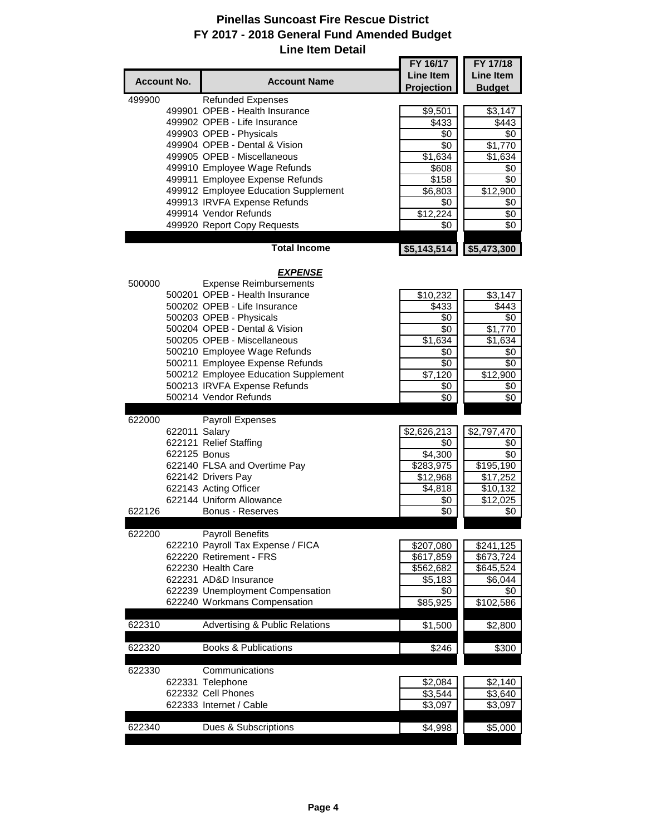|        |                    |                                                          | FY 16/17            | FY 17/18            |
|--------|--------------------|----------------------------------------------------------|---------------------|---------------------|
|        | <b>Account No.</b> | <b>Account Name</b>                                      | <b>Line Item</b>    | Line Item           |
|        |                    |                                                          | Projection          | <b>Budget</b>       |
| 499900 |                    | <b>Refunded Expenses</b>                                 |                     |                     |
|        |                    | 499901 OPEB - Health Insurance                           | \$9,501             | \$3,147             |
|        |                    | 499902 OPEB - Life Insurance                             | \$433               | \$443               |
|        |                    | 499903 OPEB - Physicals                                  | \$0                 | \$0                 |
|        |                    | 499904 OPEB - Dental & Vision                            | $\sqrt{6}$          | $\overline{$}1,770$ |
|        |                    | 499905 OPEB - Miscellaneous                              | \$1,634             | \$1,634             |
|        |                    | 499910 Employee Wage Refunds                             | $\overline{$}608$   | $\sqrt{6}$          |
|        |                    | 499911 Employee Expense Refunds                          | \$158               | \$0                 |
|        |                    | 499912 Employee Education Supplement                     |                     | \$12,900            |
|        |                    | 499913 IRVFA Expense Refunds                             | \$6,803<br>\$0      | \$0                 |
|        |                    | 499914 Vendor Refunds                                    | \$12,224            |                     |
|        |                    |                                                          |                     | \$0                 |
|        |                    | 499920 Report Copy Requests                              | \$0                 | \$0                 |
|        |                    | <b>Total Income</b>                                      | \$5,143,514         | \$5,473,300         |
|        |                    | <b>EXPENSE</b>                                           |                     |                     |
| 500000 |                    | <b>Expense Reimbursements</b>                            |                     |                     |
|        |                    | 500201 OPEB - Health Insurance                           | \$10,232            | \$3,147             |
|        |                    | 500202 OPEB - Life Insurance                             | \$433               | \$443               |
|        |                    |                                                          |                     |                     |
|        |                    | 500203 OPEB - Physicals<br>500204 OPEB - Dental & Vision | \$0                 | \$0                 |
|        |                    |                                                          | \$0                 | \$1,770             |
|        |                    | 500205 OPEB - Miscellaneous                              | \$1,634             | \$1,634             |
|        |                    | 500210 Employee Wage Refunds                             | \$0                 | \$0                 |
|        |                    | 500211 Employee Expense Refunds                          | $\sqrt{6}$          | \$0                 |
|        |                    | 500212 Employee Education Supplement                     | \$7,120             | \$12,900            |
|        |                    | 500213 IRVFA Expense Refunds                             | \$0                 | \$0                 |
|        |                    | 500214 Vendor Refunds                                    | \$0                 | \$0                 |
|        |                    |                                                          |                     |                     |
| 622000 |                    | Payroll Expenses                                         |                     |                     |
|        | 622011 Salary      |                                                          | \$2,626,213         | \$2,797,470         |
|        |                    | 622121 Relief Staffing                                   | \$0                 | \$0                 |
|        | 622125 Bonus       |                                                          | \$4,300             | \$0                 |
|        |                    | 622140 FLSA and Overtime Pay                             | \$283,975           | \$195,190           |
|        |                    | 622142 Drivers Pay                                       | \$12,968            | \$17,252            |
|        |                    | 622143 Acting Officer                                    | \$4,818             | \$10,132            |
|        |                    | 622144 Uniform Allowance                                 | <u>\$0</u>          | \$12,025            |
| 622126 |                    | Bonus - Reserves                                         | $\overline{3}0$     | \$0                 |
|        |                    |                                                          |                     |                     |
| 622200 |                    | <b>Payroll Benefits</b>                                  |                     |                     |
|        |                    | 622210 Payroll Tax Expense / FICA                        | \$207,080           | \$241,125           |
|        |                    | 622220 Retirement - FRS                                  | \$617,859           | \$673,724           |
|        |                    | 622230 Health Care                                       |                     | \$645,524           |
|        |                    |                                                          | \$562,682           |                     |
|        |                    | 622231 AD&D Insurance                                    | \$5,183             | \$6,044             |
|        |                    | 622239 Unemployment Compensation                         | \$0                 | \$0                 |
|        |                    | 622240 Workmans Compensation                             | \$85,925            | \$102,586           |
|        |                    |                                                          |                     |                     |
| 622310 |                    | <b>Advertising &amp; Public Relations</b>                | \$1,500             | \$2,800             |
| 622320 |                    | <b>Books &amp; Publications</b>                          | \$246               | \$300               |
|        |                    |                                                          |                     |                     |
| 622330 |                    | Communications                                           |                     |                     |
|        |                    | 622331 Telephone                                         | \$2,084             | \$2,140             |
|        |                    | 622332 Cell Phones                                       | $\overline{$3,544}$ | \$3,640             |
|        |                    | 622333 Internet / Cable                                  | \$3,097             | \$3,097             |
|        |                    |                                                          |                     |                     |
| 622340 |                    | Dues & Subscriptions                                     | \$4,998             | \$5,000             |
|        |                    |                                                          |                     |                     |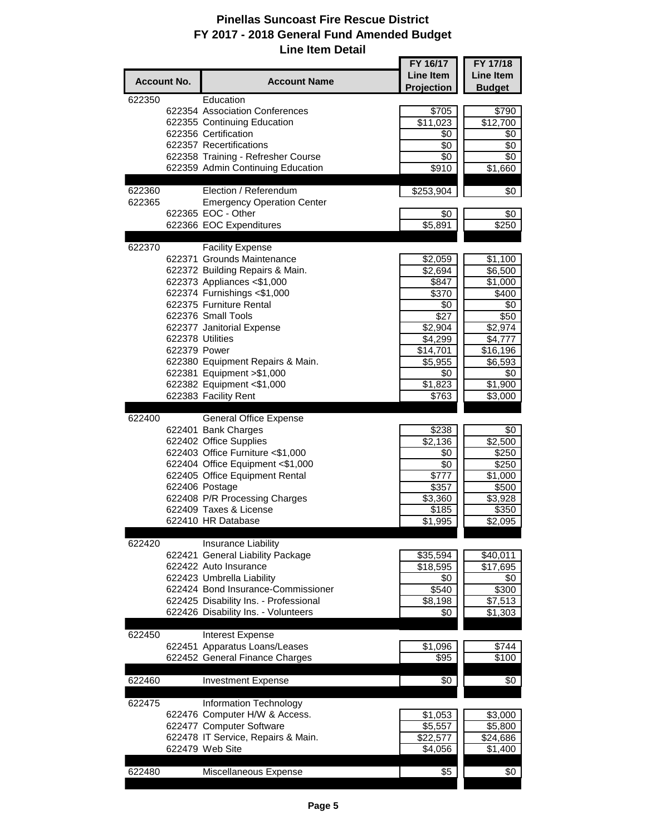|                    |                  |                                                       | FY 16/17             | FY 17/18             |
|--------------------|------------------|-------------------------------------------------------|----------------------|----------------------|
| <b>Account No.</b> |                  | <b>Account Name</b>                                   | <b>Line Item</b>     | Line Item            |
|                    |                  |                                                       | Projection           | <b>Budget</b>        |
| 622350             |                  | Education                                             |                      |                      |
|                    |                  | 622354 Association Conferences                        | \$705                | \$790                |
|                    |                  | 622355 Continuing Education<br>622356 Certification   | $\overline{$}11,023$ | $\overline{$}12,700$ |
|                    |                  | 622357 Recertifications                               | \$0<br>\$0           | \$0<br>\$0           |
|                    |                  | 622358 Training - Refresher Course                    | \$0                  | \$0                  |
|                    |                  | 622359 Admin Continuing Education                     | \$910                | \$1,660              |
|                    |                  |                                                       |                      |                      |
| 622360             |                  | Election / Referendum                                 | \$253,904            | \$0                  |
| 622365             |                  | <b>Emergency Operation Center</b>                     |                      |                      |
|                    |                  | 622365 EOC - Other                                    | \$0                  | \$0                  |
|                    |                  | 622366 EOC Expenditures                               | \$5,891              | \$250                |
|                    |                  |                                                       |                      |                      |
| 622370             |                  | <b>Facility Expense</b><br>622371 Grounds Maintenance |                      |                      |
|                    |                  | 622372 Building Repairs & Main.                       | \$2,059<br>\$2,694   | \$1,100<br>\$6,500   |
|                    |                  | 622373 Appliances <\$1,000                            | \$847                | \$1,000              |
|                    |                  | 622374 Furnishings <\$1,000                           | \$370                | \$400                |
|                    |                  | 622375 Furniture Rental                               | \$0                  | \$0                  |
|                    |                  | 622376 Small Tools                                    | \$27                 | \$50                 |
|                    |                  | 622377 Janitorial Expense                             | \$2,904              | $\sqrt{$2,974}$      |
|                    | 622378 Utilities |                                                       | \$4,299              | \$4,777              |
|                    | 622379 Power     |                                                       | \$14,701             | \$16, 196            |
|                    |                  | 622380 Equipment Repairs & Main.                      | \$5,955              | \$6,593              |
|                    |                  | 622381 Equipment > \$1,000                            | \$0                  | \$0                  |
|                    |                  | 622382 Equipment <\$1,000                             | \$1,823              | \$1,900              |
|                    |                  | 622383 Facility Rent                                  | \$763                | \$3,000              |
| 622400             |                  | <b>General Office Expense</b>                         |                      |                      |
|                    |                  | 622401 Bank Charges                                   | \$238                | \$0                  |
|                    |                  | 622402 Office Supplies                                | \$2,136              | \$2,500              |
|                    |                  | 622403 Office Furniture <\$1,000                      | \$0                  | \$250                |
|                    |                  | 622404 Office Equipment <\$1,000                      | $\sqrt{6}$           | \$250                |
|                    |                  | 622405 Office Equipment Rental                        | \$777                | $\overline{$1,000}$  |
|                    |                  | 622406 Postage                                        | \$357                | \$500                |
|                    |                  | 622408 P/R Processing Charges                         | \$3,360              | \$3,928              |
|                    |                  | 622409 Taxes & License                                | \$185                | \$350                |
|                    |                  | 622410 HR Database                                    | \$1,995              | \$2,095              |
| 622420             |                  | Insurance Liability                                   |                      |                      |
|                    |                  | 622421 General Liability Package                      | \$35,594             | \$40,011             |
|                    |                  | 622422 Auto Insurance                                 | \$18,595             | \$17,695             |
|                    |                  | 622423 Umbrella Liability                             | \$0                  | \$0                  |
|                    |                  | 622424 Bond Insurance-Commissioner                    | $\overline{$}540$    | \$300                |
|                    |                  | 622425 Disability Ins. - Professional                 | \$8,198              | \$7,513              |
|                    |                  | 622426 Disability Ins. - Volunteers                   | \$0                  | \$1,303              |
|                    |                  |                                                       |                      |                      |
| 622450             |                  | Interest Expense                                      |                      |                      |
|                    |                  | 622451 Apparatus Loans/Leases                         | \$1,096              | \$744                |
|                    |                  | 622452 General Finance Charges                        | \$95                 | \$100                |
| 622460             |                  | <b>Investment Expense</b>                             | \$0                  | \$0                  |
|                    |                  |                                                       |                      |                      |
| 622475             |                  | Information Technology                                |                      |                      |
|                    |                  | 622476 Computer H/W & Access.                         | \$1,053              | \$3,000              |
|                    |                  | 622477 Computer Software                              | \$5,557              | \$5,800              |
|                    |                  | 622478 IT Service, Repairs & Main.                    | \$22,577             | \$24,686             |
|                    |                  | 622479 Web Site                                       | \$4,056              | \$1,400              |
|                    |                  |                                                       |                      |                      |
| 622480             |                  | Miscellaneous Expense                                 | \$5                  | \$0                  |
|                    |                  |                                                       |                      |                      |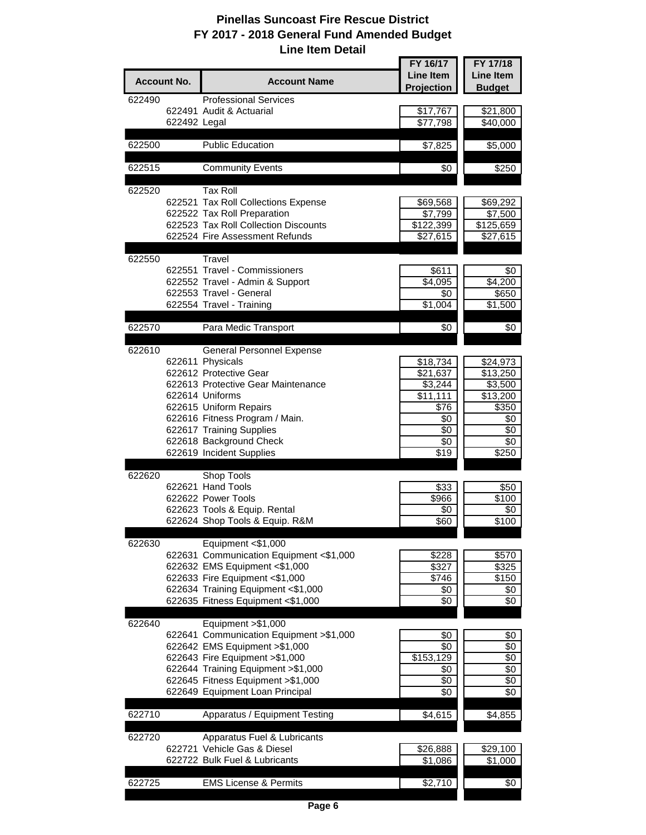|        |                    |                                                          | FY 16/17                        | FY 17/18          |
|--------|--------------------|----------------------------------------------------------|---------------------------------|-------------------|
|        | <b>Account No.</b> | <b>Account Name</b>                                      | <b>Line Item</b>                | <b>Line Item</b>  |
|        |                    |                                                          | Projection                      | <b>Budget</b>     |
| 622490 |                    | <b>Professional Services</b>                             |                                 |                   |
|        |                    | 622491 Audit & Actuarial                                 | \$17,767                        | \$21,800          |
|        | 622492 Legal       |                                                          | \$77,798                        | \$40,000          |
|        |                    |                                                          |                                 |                   |
| 622500 |                    | <b>Public Education</b>                                  | \$7,825                         | \$5,000           |
|        |                    |                                                          |                                 |                   |
| 622515 |                    | <b>Community Events</b>                                  | \$0                             | \$250             |
|        |                    |                                                          |                                 |                   |
| 622520 |                    | <b>Tax Roll</b>                                          |                                 |                   |
|        |                    | 622521 Tax Roll Collections Expense                      | \$69,568                        | \$69,292          |
|        |                    | 622522 Tax Roll Preparation                              | \$7,799                         | \$7,500           |
|        |                    | 622523 Tax Roll Collection Discounts                     | \$122,399                       | \$125,659         |
|        |                    | 622524 Fire Assessment Refunds                           | \$27,615                        | \$27,615          |
|        |                    |                                                          |                                 |                   |
| 622550 |                    | Travel                                                   |                                 |                   |
|        |                    | 622551 Travel - Commissioners                            | \$611                           | \$0               |
|        |                    | 622552 Travel - Admin & Support                          | \$4,095                         | \$4,200           |
|        |                    | 622553 Travel - General                                  | \$0                             | \$650             |
|        |                    | 622554 Travel - Training                                 | \$1,004                         | \$1,500           |
| 622570 |                    |                                                          |                                 |                   |
|        |                    | Para Medic Transport                                     | \$0                             | \$0               |
| 622610 |                    | General Personnel Expense                                |                                 |                   |
|        |                    | 622611 Physicals                                         |                                 |                   |
|        |                    | 622612 Protective Gear                                   | \$18,734                        | \$24,973          |
|        |                    | 622613 Protective Gear Maintenance                       | $\overline{$}21,637$<br>\$3,244 | \$13,250          |
|        |                    | 622614 Uniforms                                          |                                 | \$3,500           |
|        |                    |                                                          | \$11,111                        | \$13,200          |
|        |                    | 622615 Uniform Repairs<br>622616 Fitness Program / Main. | \$76                            | \$350             |
|        |                    |                                                          | \$0<br>\$0                      | \$0<br>\$0        |
|        |                    | 622617 Training Supplies<br>622618 Background Check      | \$0                             | \$0               |
|        |                    | 622619 Incident Supplies                                 | $\sqrt{$19}$                    | \$250             |
|        |                    |                                                          |                                 |                   |
| 622620 |                    | Shop Tools                                               |                                 |                   |
|        |                    | 622621 Hand Tools                                        | \$33                            | \$50              |
|        |                    | 622622 Power Tools                                       | \$966                           | \$100             |
|        |                    | 622623 Tools & Equip. Rental                             | \$0                             | \$0               |
|        |                    | 622624 Shop Tools & Equip. R&M                           | \$60                            | $\overline{$100}$ |
|        |                    |                                                          |                                 |                   |
| 622630 |                    | Equipment <\$1,000                                       |                                 |                   |
|        |                    | 622631 Communication Equipment <\$1,000                  | \$228                           | \$570             |
|        |                    | 622632 EMS Equipment <\$1,000                            | \$327                           | \$325             |
|        |                    | 622633 Fire Equipment <\$1,000                           | \$746                           | \$150             |
|        |                    | 622634 Training Equipment <\$1,000                       | \$0                             | \$0               |
|        |                    | 622635 Fitness Equipment <\$1,000                        | \$0                             | \$0               |
|        |                    |                                                          |                                 |                   |
| 622640 |                    | Equipment > \$1,000                                      |                                 |                   |
|        |                    | 622641 Communication Equipment > \$1,000                 | \$0                             | \$0               |
|        |                    | 622642 EMS Equipment > \$1,000                           | \$0                             | \$0               |
|        |                    | 622643 Fire Equipment > \$1,000                          | \$153,129                       | \$0               |
|        |                    | 622644 Training Equipment > \$1,000                      | \$0                             | \$0               |
|        |                    | 622645 Fitness Equipment > \$1,000                       | \$0                             | \$0               |
|        |                    | 622649 Equipment Loan Principal                          | \$0                             | \$0               |
|        |                    |                                                          |                                 |                   |
| 622710 |                    | Apparatus / Equipment Testing                            | \$4,615                         | \$4,855           |
|        |                    |                                                          |                                 |                   |
| 622720 |                    | Apparatus Fuel & Lubricants                              |                                 |                   |
|        |                    | 622721 Vehicle Gas & Diesel                              | \$26,888                        | \$29,100          |
|        |                    | 622722 Bulk Fuel & Lubricants                            | \$1,086                         | \$1,000           |
|        |                    |                                                          |                                 |                   |
| 622725 |                    | <b>EMS License &amp; Permits</b>                         | \$2,710                         | \$0               |
|        |                    |                                                          |                                 |                   |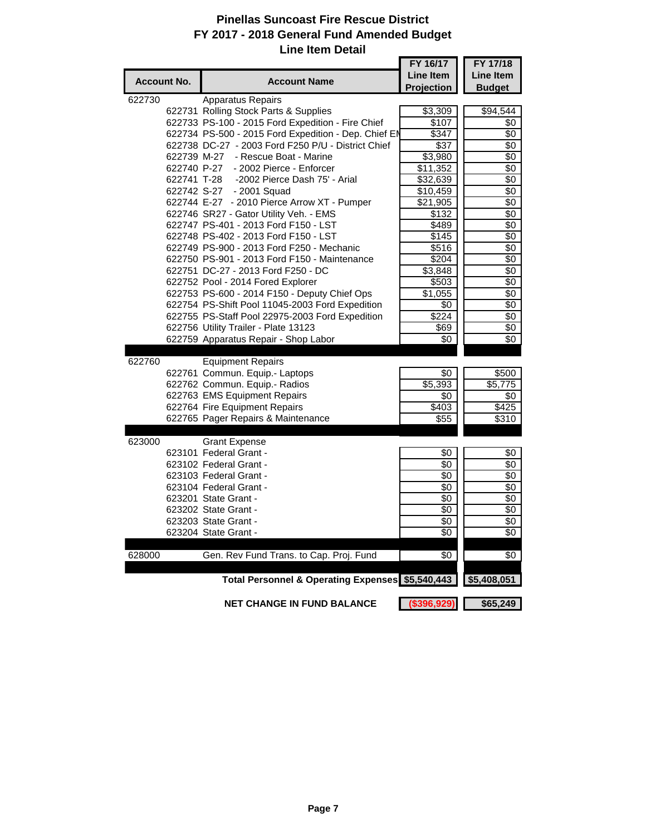۵.

|                    |                                                      | FY 16/17            | FY 17/18      |
|--------------------|------------------------------------------------------|---------------------|---------------|
| <b>Account No.</b> | <b>Account Name</b>                                  | <b>Line Item</b>    | Line Item     |
|                    |                                                      | Projection          | <b>Budget</b> |
| 622730             | Apparatus Repairs                                    |                     |               |
|                    | 622731 Rolling Stock Parts & Supplies                | \$3,309             | \$94,544      |
|                    | 622733 PS-100 - 2015 Ford Expedition - Fire Chief    | \$107               | \$0           |
|                    | 622734 PS-500 - 2015 Ford Expedition - Dep. Chief EN | \$347               | \$0           |
|                    | 622738 DC-27 - 2003 Ford F250 P/U - District Chief   | \$37                | \$0           |
|                    | 622739 M-27 - Rescue Boat - Marine                   | \$3,980             | \$0           |
|                    | - 2002 Pierce - Enforcer<br>622740 P-27              | \$11,352            | \$0           |
|                    | -2002 Pierce Dash 75' - Arial<br>622741 T-28         | \$32,639            | \$0           |
|                    | 622742 S-27 - 2001 Squad                             | \$10,459            | \$0           |
|                    | 622744 E-27 - 2010 Pierce Arrow XT - Pumper          | \$21,905            | \$0           |
|                    | 622746 SR27 - Gator Utility Veh. - EMS               | \$132               | \$0           |
|                    | 622747 PS-401 - 2013 Ford F150 - LST                 | \$489               | \$0           |
|                    | 622748 PS-402 - 2013 Ford F150 - LST                 | \$145               | \$0           |
|                    | 622749 PS-900 - 2013 Ford F250 - Mechanic            | \$516               | \$0           |
|                    | 622750 PS-901 - 2013 Ford F150 - Maintenance         | \$204               | \$0           |
|                    | 622751 DC-27 - 2013 Ford F250 - DC                   | $\overline{$3,848}$ | \$0           |
|                    | 622752 Pool - 2014 Fored Explorer                    | \$503               | \$0           |
|                    | 622753 PS-600 - 2014 F150 - Deputy Chief Ops         | \$1,055             | \$0           |
|                    | 622754 PS-Shift Pool 11045-2003 Ford Expedition      | \$0                 | \$0           |
|                    | 622755 PS-Staff Pool 22975-2003 Ford Expedition      | $\sqrt{$224}$       | \$0           |
|                    | 622756 Utility Trailer - Plate 13123                 | \$69                | \$0           |
|                    | 622759 Apparatus Repair - Shop Labor                 | \$0                 | \$0           |
|                    |                                                      |                     |               |
| 622760             | <b>Equipment Repairs</b>                             |                     |               |
|                    | 622761 Commun. Equip.- Laptops                       | \$0                 | \$500         |
|                    | 622762 Commun. Equip.- Radios                        | \$5,393             | \$5,775       |
|                    | 622763 EMS Equipment Repairs                         | \$0                 | \$0           |
|                    | 622764 Fire Equipment Repairs                        | \$403               | \$425         |
|                    | 622765 Pager Repairs & Maintenance                   | \$55                | \$310         |
|                    |                                                      |                     |               |
| 623000             | <b>Grant Expense</b>                                 |                     |               |
|                    | 623101 Federal Grant -                               | \$0                 | \$0           |
|                    | 623102 Federal Grant -                               | \$0                 | \$0           |
|                    | 623103 Federal Grant -                               | \$0                 | \$0           |
|                    | 623104 Federal Grant -                               | \$0                 | \$0           |
|                    | 623201 State Grant -                                 | \$0                 | \$0           |
|                    | 623202 State Grant -                                 | \$0                 | \$0           |
|                    | 623203 State Grant -                                 | \$0                 | \$0           |
|                    | 623204 State Grant                                   | \$0                 | \$0           |
| 628000             | Gen. Rev Fund Trans. to Cap. Proj. Fund              | \$0                 | \$0           |
|                    |                                                      |                     |               |
|                    | Total Personnel & Operating Expenses \$5,540,443     |                     | \$5,408,051   |
|                    |                                                      |                     |               |
|                    | <b>NET CHANGE IN FUND BALANCE</b>                    | (\$396,929)         | \$65,249      |